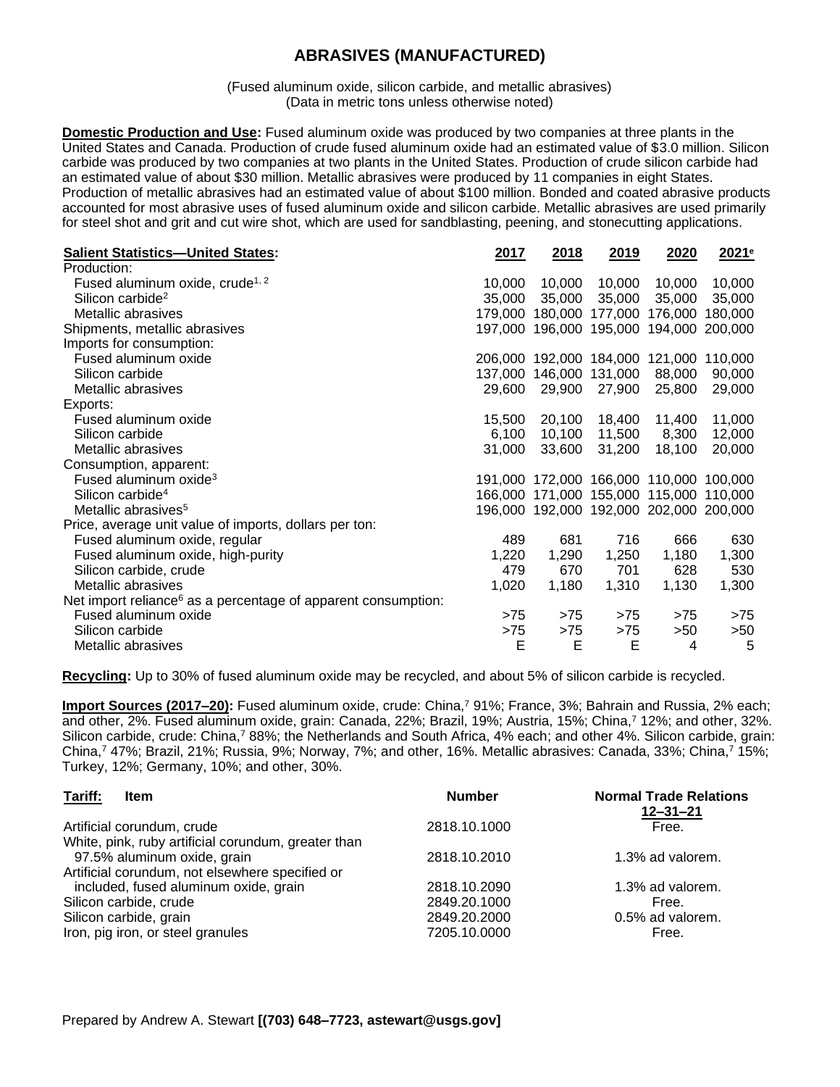## **ABRASIVES (MANUFACTURED)**

(Fused aluminum oxide, silicon carbide, and metallic abrasives) (Data in metric tons unless otherwise noted)

**Domestic Production and Use:** Fused aluminum oxide was produced by two companies at three plants in the United States and Canada. Production of crude fused aluminum oxide had an estimated value of \$3.0 million. Silicon carbide was produced by two companies at two plants in the United States. Production of crude silicon carbide had an estimated value of about \$30 million. Metallic abrasives were produced by 11 companies in eight States. Production of metallic abrasives had an estimated value of about \$100 million. Bonded and coated abrasive products accounted for most abrasive uses of fused aluminum oxide and silicon carbide. Metallic abrasives are used primarily for steel shot and grit and cut wire shot, which are used for sandblasting, peening, and stonecutting applications.

| <b>Salient Statistics-United States:</b>                                  | 2017    | 2018                    | 2019    | 2020                                    | 2021 <sup>e</sup> |
|---------------------------------------------------------------------------|---------|-------------------------|---------|-----------------------------------------|-------------------|
| Production:                                                               |         |                         |         |                                         |                   |
| Fused aluminum oxide, crude <sup>1, 2</sup>                               | 10,000  | 10,000                  | 10,000  | 10,000                                  | 10,000            |
| Silicon carbide <sup>2</sup>                                              | 35,000  | 35,000                  | 35,000  | 35,000                                  | 35,000            |
| Metallic abrasives                                                        | 179,000 | 180,000                 | 177,000 | 176,000                                 | 180,000           |
| Shipments, metallic abrasives                                             |         |                         |         | 197,000 196,000 195,000 194,000 200,000 |                   |
| Imports for consumption:                                                  |         |                         |         |                                         |                   |
| Fused aluminum oxide                                                      |         | 206,000 192,000 184,000 |         | 121,000                                 | 110,000           |
| Silicon carbide                                                           | 137,000 | 146,000                 | 131,000 | 88,000                                  | 90,000            |
| Metallic abrasives                                                        | 29,600  | 29,900                  | 27,900  | 25,800                                  | 29,000            |
| Exports:                                                                  |         |                         |         |                                         |                   |
| Fused aluminum oxide                                                      | 15,500  | 20,100                  | 18,400  | 11,400                                  | 11,000            |
| Silicon carbide                                                           | 6,100   | 10,100                  | 11,500  | 8,300                                   | 12,000            |
| Metallic abrasives                                                        | 31,000  | 33,600                  | 31,200  | 18,100                                  | 20,000            |
| Consumption, apparent:                                                    |         |                         |         |                                         |                   |
| Fused aluminum oxide <sup>3</sup>                                         |         |                         |         | 191,000 172,000 166,000 110,000 100,000 |                   |
| Silicon carbide <sup>4</sup>                                              |         |                         |         | 166,000 171,000 155,000 115,000 110,000 |                   |
| Metallic abrasives <sup>5</sup>                                           |         |                         |         | 196,000 192,000 192,000 202,000 200,000 |                   |
| Price, average unit value of imports, dollars per ton:                    |         |                         |         |                                         |                   |
| Fused aluminum oxide, regular                                             | 489     | 681                     | 716     | 666                                     | 630               |
| Fused aluminum oxide, high-purity                                         | 1,220   | 1,290                   | 1,250   | 1,180                                   | 1,300             |
| Silicon carbide, crude                                                    | 479     | 670                     | 701     | 628                                     | 530               |
| Metallic abrasives                                                        | 1,020   | 1,180                   | 1,310   | 1,130                                   | 1,300             |
| Net import reliance <sup>6</sup> as a percentage of apparent consumption: |         |                         |         |                                         |                   |
| Fused aluminum oxide                                                      | >75     | >75                     | >75     | >75                                     | >75               |
| Silicon carbide                                                           | $>75$   | >75                     | >75     | >50                                     | >50               |
| Metallic abrasives                                                        | E       | Е                       | Е       | 4                                       | 5                 |

**Recycling:** Up to 30% of fused aluminum oxide may be recycled, and about 5% of silicon carbide is recycled.

**Import Sources (2017–20):** Fused aluminum oxide, crude: China,<sup>7</sup> 91%; France, 3%; Bahrain and Russia, 2% each; and other, 2%. Fused aluminum oxide, grain: Canada, 22%; Brazil, 19%; Austria, 15%; China,<sup>7</sup> 12%; and other, 32%. Silicon carbide, crude: China,<sup>7</sup> 88%; the Netherlands and South Africa, 4% each; and other 4%. Silicon carbide, grain: China,<sup>7</sup> 47%; Brazil, 21%; Russia, 9%; Norway, 7%; and other, 16%. Metallic abrasives: Canada, 33%; China,<sup>7</sup> 15%; Turkey, 12%; Germany, 10%; and other, 30%.

| Tariff:<br>Item                                     | <b>Number</b> | <b>Normal Trade Relations</b><br>$12 - 31 - 21$ |
|-----------------------------------------------------|---------------|-------------------------------------------------|
| Artificial corundum, crude                          | 2818.10.1000  | Free.                                           |
| White, pink, ruby artificial corundum, greater than |               |                                                 |
| 97.5% aluminum oxide, grain                         | 2818.10.2010  | 1.3% ad valorem.                                |
| Artificial corundum, not elsewhere specified or     |               |                                                 |
| included, fused aluminum oxide, grain               | 2818.10.2090  | 1.3% ad valorem.                                |
| Silicon carbide, crude                              | 2849.20.1000  | Free.                                           |
| Silicon carbide, grain                              | 2849.20.2000  | 0.5% ad valorem.                                |
| Iron, pig iron, or steel granules                   | 7205.10.0000  | Free.                                           |